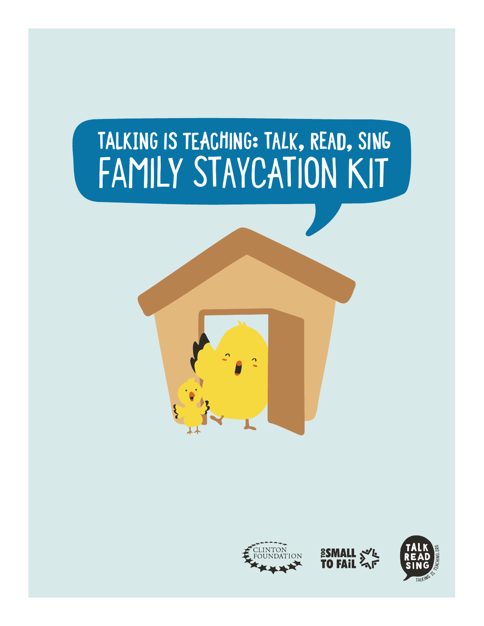### **Talking is Teaching: Talk, Read, Sing** Family Staycation Kit





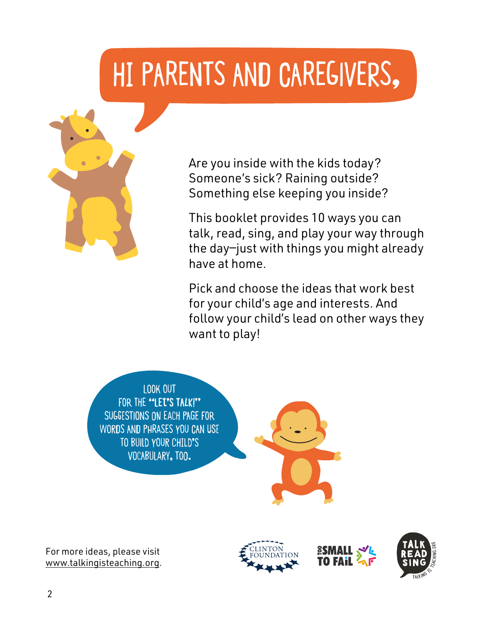### Hi Parents and Caregivers,



Are you inside with the kids today? Someone's sick? Raining outside? Something else keeping you inside?

This booklet provides 10 ways you can talk, read, sing, and play your way through the day—just with things you might already have at home.

Pick and choose the ideas that work best for your child's age and interests. And follow your child's lead on other ways they want to play!

Look out FOR THE "LET'S TALK!" suggestions on each page for words and phrases you can use to build your child's vocabulary, too.

For more ideas, please visit www.talkingisteaching.org.





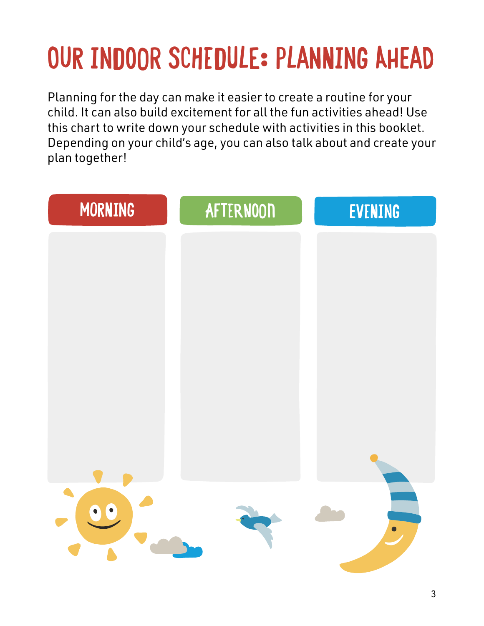### **OUR INDOOR SCHEDULE: PLANNING AHEAD**

Planning for the day can make it easier to create a routine for your child. It can also build excitement for all the fun activities ahead! Use this chart to write down your schedule with activities in this booklet. Depending on your child's age, you can also talk about and create your plan together!

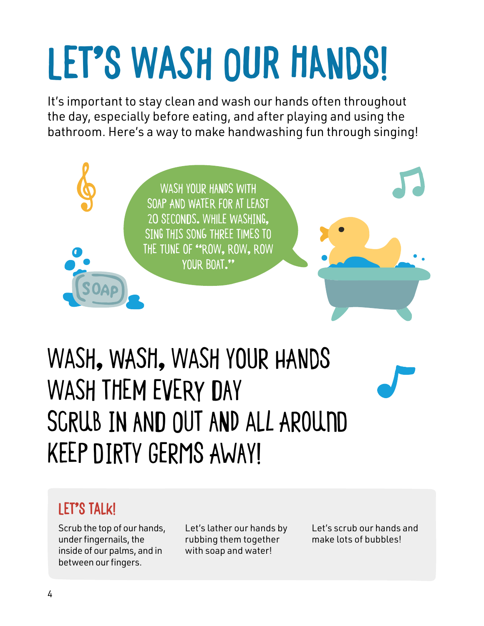### **Let's wash our Hands!**

It's important to stay clean and wash our hands often throughout the day, especially before eating, and after playing and using the bathroom. Here's a way to make handwashing fun through singing!



### Wash, wash, wash your hands WASH THEM EVERY DAY Scrub in and out and all around Keep dirty germs away!

### **Let's Talk!**

Scrub the top of our hands, under fingernails, the inside of our palms, and in between our fingers.

Let's lather our hands by rubbing them together with soap and water!

Let's scrub our hands and make lots of bubbles!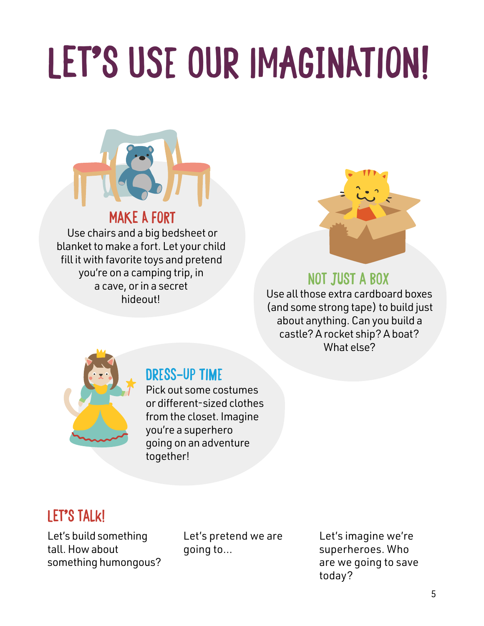### **LET'S USE OUR IMAGINATION!**



#### **Make a fort**

Use chairs and a big bedsheet or blanket to make a fort. Let your child fill it with favorite toys and pretend you're on a camping trip, in a cave, or in a secret hideout!



#### **Not just a box**

Use all those extra cardboard boxes (and some strong tape) to build just about anything. Can you build a castle? A rocket ship? A boat? What else?



### **Dress-up time**

Pick out some costumes or different-sized clothes from the closet. Imagine you're a superhero going on an adventure together!

### **Let's Talk!**

Let's build something tall. How about something humongous? Let's pretend we are going to…

Let's imagine we're superheroes. Who are we going to save today?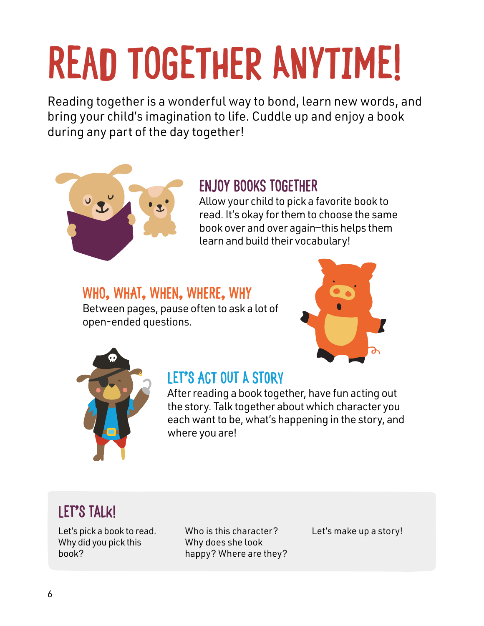## **Read Together anytime!**

Reading together is a wonderful way to bond, learn new words, and bring your child's imagination to life. Cuddle up and enjoy a book during any part of the day together!



### **Enjoy books together**

Allow your child to pick a favorite book to read. It's okay for them to choose the same book over and over again—this helps them learn and build their vocabulary!

### **Who, what, when, where, why**

Between pages, pause often to ask a lot of open-ended questions.





### **Let's act out a story**

After reading a book together, have fun acting out the story. Talk together about which character you each want to be, what's happening in the story, and where you are!

### **Let's Talk!**

Let's pick a book to read. Why did you pick this book?

Who is this character? Why does she look happy? Where are they? Let's make up a story!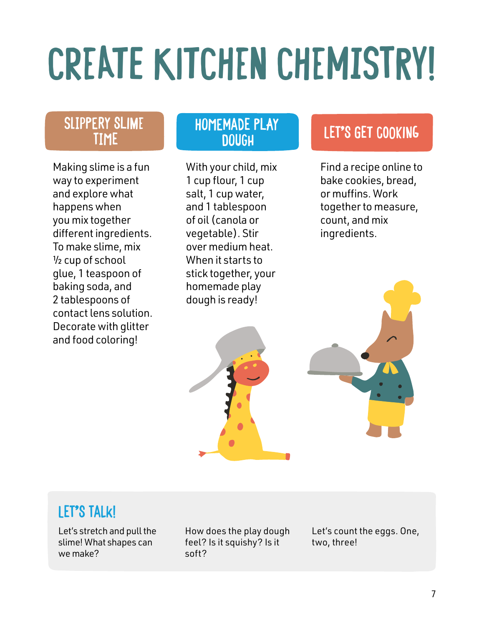### **CREATE KITCHEN CHEMISTRY!**

#### **Slippery slime time**

Making slime is a fun way to experiment and explore what happens when you mix together different ingredients. To make slime, mix ½ cup of school glue, 1 teaspoon of baking soda, and 2 tablespoons of contact lens solution. Decorate with glitter and food coloring!

### **Homemade play**

With your child, mix 1 cup flour, 1 cup salt, 1 cup water, and 1 tablespoon of oil (canola or vegetable). Stir over medium heat. When it starts to stick together, your homemade play dough is ready!

### **LET'S GET COOKING**

Find a recipe online to bake cookies, bread, or muffins. Work together to measure, count, and mix ingredients.



### **Let's Talk!**

Let's stretch and pull the slime! What shapes can we make?

How does the play dough feel? Is it squishy? Is it soft?

Let's count the eggs. One, two, three!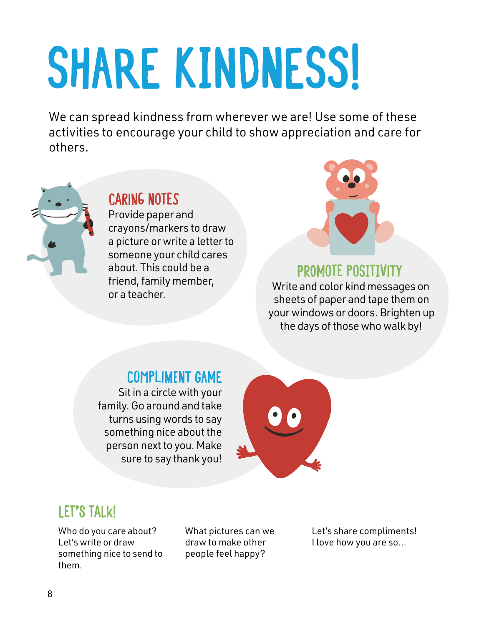# **SHARE KINDNESs!**

We can spread kindness from wherever we are! Use some of these activities to encourage your child to show appreciation and care for others.



### **Caring Notes**

Provide paper and crayons/markers to draw a picture or write a letter to someone your child cares about. This could be a friend, family member, or a teacher.



#### **Promote positivity**

Write and color kind messages on sheets of paper and tape them on your windows or doors. Brighten up the days of those who walk by!

#### **Compliment Game**

Sit in a circle with your family. Go around and take turns using words to say something nice about the person next to you. Make sure to say thank you!



### **Let's Talk!**

Who do you care about? Let's write or draw something nice to send to them.

What pictures can we draw to make other people feel happy?

Let's share compliments! I love how you are so…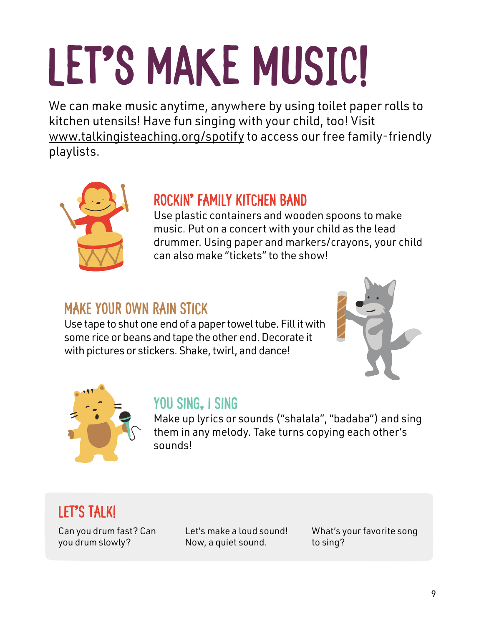# LET'S MAKE MUSIC!

We can make music anytime, anywhere by using toilet paper rolls to kitchen utensils! Have fun singing with your child, too! Visit www.talkingisteaching.org/spotify to access our free family-friendly playlists.



### **Rockin' family kitchen band**

Use plastic containers and wooden spoons to make music. Put on a concert with your child as the lead drummer. Using paper and markers/crayons, your child can also make "tickets" to the show!

### **Make your own rain stick**

Use tape to shut one end of a paper towel tube. Fill it with some rice or beans and tape the other end. Decorate it with pictures or stickers. Shake, twirl, and dance!





### **You sing, I sing**

Make up lyrics or sounds ("shalala", "badaba") and sing them in any melody. Take turns copying each other's sounds!

### **Let's Talk!**

Can you drum fast? Can you drum slowly?

Let's make a loud sound! Now, a quiet sound.

What's your favorite song to sing?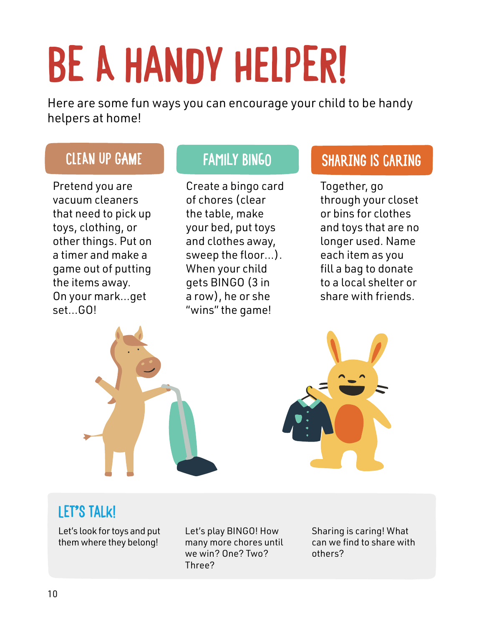## **BE A HANDY HELPER!**

Here are some fun ways you can encourage your child to be handy helpers at home!

Pretend you are vacuum cleaners that need to pick up toys, clothing, or other things. Put on a timer and make a game out of putting the items away. On your mark…get set…GO!

Create a bingo card of chores (clear the table, make your bed, put toys and clothes away, sweep the floor…). When your child gets BINGO (3 in a row), he or she "wins" the game!

### **Clean up game Family BINGO Sharing is caring**

Together, go through your closet or bins for clothes and toys that are no longer used. Name each item as you fill a bag to donate to a local shelter or share with friends.



### **Let's Talk!**

Let's look for toys and put them where they belong!

Let's play BINGO! How many more chores until we win? One? Two? Three?

Sharing is caring! What can we find to share with others?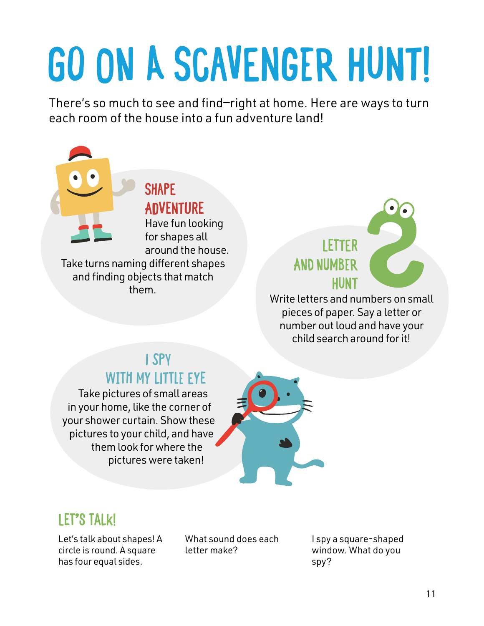## **GO ON A SCAVENGER HUNT!**

There's so much to see and find—right at home. Here are ways to turn each room of the house into a fun adventure land!



pieces of paper. Say a letter or number out loud and have your child search around for it!

### **I Spy with my little eye**

Take pictures of small areas in your home, like the corner of your shower curtain. Show these pictures to your child, and have them look for where the pictures were taken!



### **Let's Talk!**

Let's talk about shapes! A circle is round. A square has four equal sides.

What sound does each letter make?

I spy a square-shaped window. What do you spy?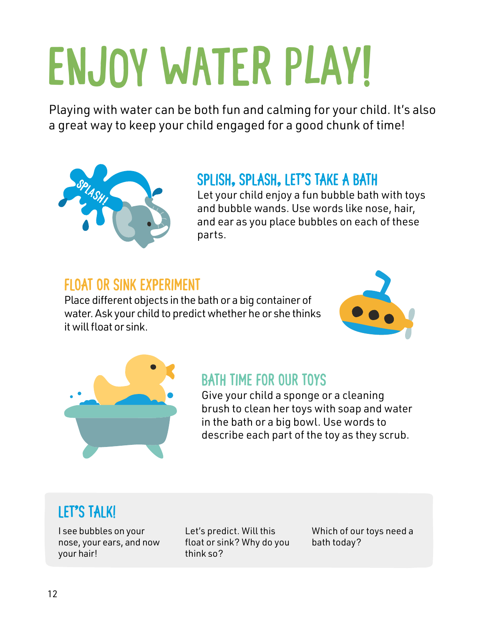## **ENJOY WATER PLAy!**

Playing with water can be both fun and calming for your child. It's also a great way to keep your child engaged for a good chunk of time!



#### **Splish, splash, let's take a bath**

Let your child enjoy a fun bubble bath with toys and bubble wands. Use words like nose, hair, and ear as you place bubbles on each of these parts.

#### **Float or sink experiment**

Place different objects in the bath or a big container of water. Ask your child to predict whether he or she thinks it will float or sink.





### **Bath time for our toys**

Give your child a sponge or a cleaning brush to clean her toys with soap and water in the bath or a big bowl. Use words to describe each part of the toy as they scrub.

### **Let's Talk!**

I see bubbles on your nose, your ears, and now your hair!

Let's predict. Will this float or sink? Why do you think so?

Which of our toys need a bath today?